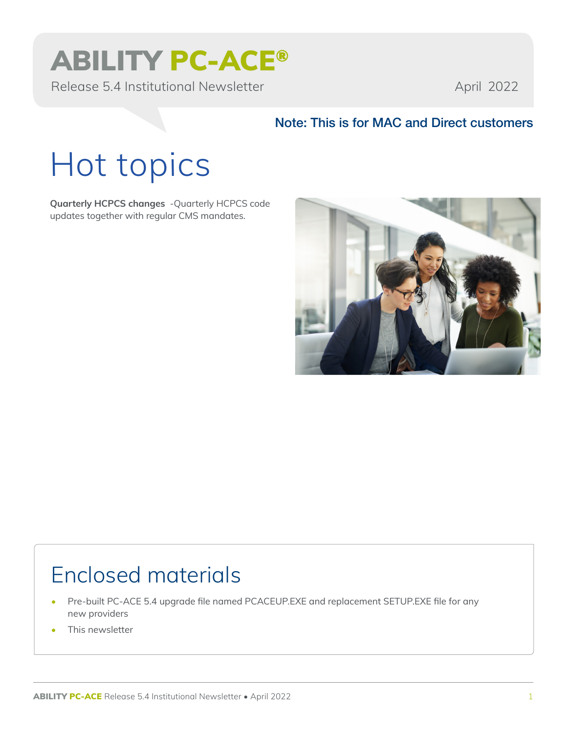## ABILITY PC-ACE®

Release 5.4 Institutional Newsletter April 2022

### Note: This is for MAC and Direct customers

# Hot topics

**Quarterly HCPCS changes** -Quarterly HCPCS code updates together with regular CMS mandates.



### Enclosed materials

- Pre-built PC-ACE 5.4 upgrade file named PCACEUP.EXE and replacement SETUP.EXE file for any new providers
- This newsletter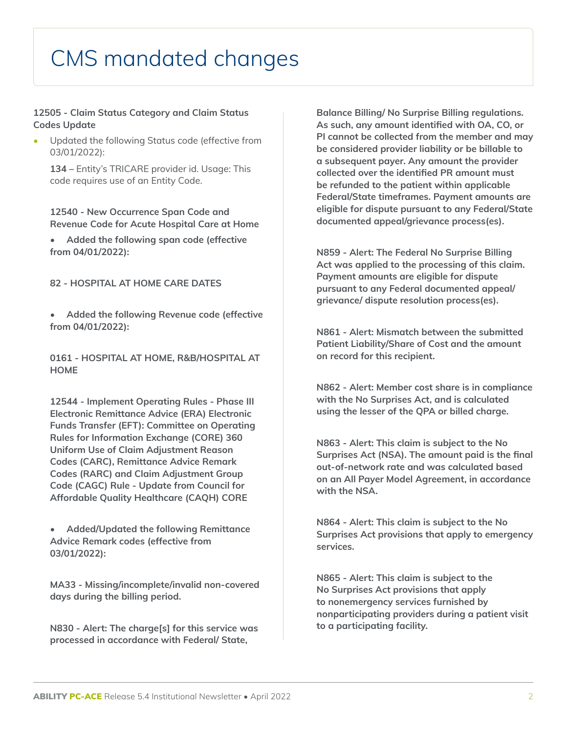### CMS mandated changes

#### **12505 - Claim Status Category and Claim Status Codes Update**

• Updated the following Status code (effective from 03/01/2022):

**134 –** Entity's TRICARE provider id. Usage: This code requires use of an Entity Code.

**12540 - New Occurrence Span Code and Revenue Code for Acute Hospital Care at Home**

**• Added the following span code (effective from 04/01/2022):**

**82 - HOSPITAL AT HOME CARE DATES**

**• Added the following Revenue code (effective from 04/01/2022):**

**0161 - HOSPITAL AT HOME, R&B/HOSPITAL AT HOME**

**12544 - Implement Operating Rules - Phase III Electronic Remittance Advice (ERA) Electronic Funds Transfer (EFT): Committee on Operating Rules for Information Exchange (CORE) 360 Uniform Use of Claim Adjustment Reason Codes (CARC), Remittance Advice Remark Codes (RARC) and Claim Adjustment Group Code (CAGC) Rule - Update from Council for Affordable Quality Healthcare (CAQH) CORE**

**• Added/Updated the following Remittance Advice Remark codes (effective from 03/01/2022):**

**MA33 - Missing/incomplete/invalid non-covered days during the billing period.**

**N830 - Alert: The charge[s] for this service was processed in accordance with Federal/ State,** 

**Balance Billing/ No Surprise Billing regulations. As such, any amount identified with OA, CO, or PI cannot be collected from the member and may be considered provider liability or be billable to a subsequent payer. Any amount the provider collected over the identified PR amount must be refunded to the patient within applicable Federal/State timeframes. Payment amounts are eligible for dispute pursuant to any Federal/State documented appeal/grievance process(es).**

**N859 - Alert: The Federal No Surprise Billing Act was applied to the processing of this claim. Payment amounts are eligible for dispute pursuant to any Federal documented appeal/ grievance/ dispute resolution process(es).**

**N861 - Alert: Mismatch between the submitted Patient Liability/Share of Cost and the amount on record for this recipient.**

**N862 - Alert: Member cost share is in compliance with the No Surprises Act, and is calculated using the lesser of the QPA or billed charge.**

**N863 - Alert: This claim is subject to the No Surprises Act (NSA). The amount paid is the final out-of-network rate and was calculated based on an All Payer Model Agreement, in accordance with the NSA.**

**N864 - Alert: This claim is subject to the No Surprises Act provisions that apply to emergency services.**

**N865 - Alert: This claim is subject to the No Surprises Act provisions that apply to nonemergency services furnished by nonparticipating providers during a patient visit to a participating facility.**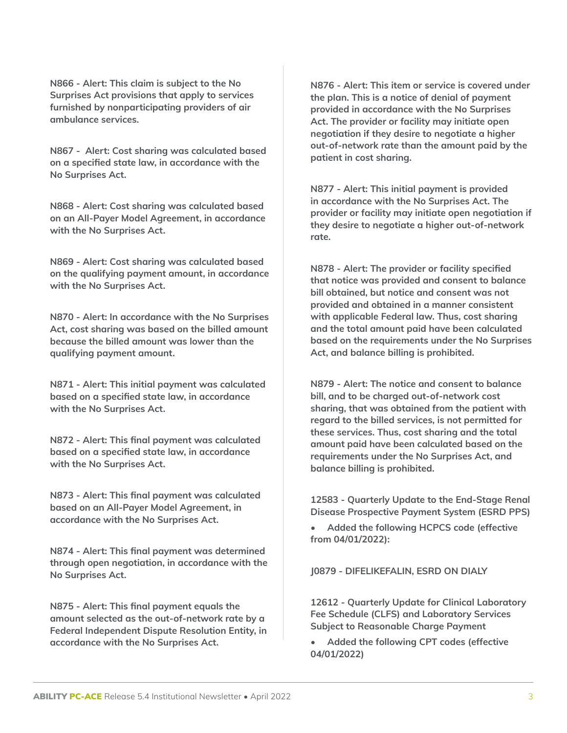**N866 - Alert: This claim is subject to the No Surprises Act provisions that apply to services furnished by nonparticipating providers of air ambulance services.**

**N867 - Alert: Cost sharing was calculated based on a specified state law, in accordance with the No Surprises Act.**

**N868 - Alert: Cost sharing was calculated based on an All-Payer Model Agreement, in accordance with the No Surprises Act.**

**N869 - Alert: Cost sharing was calculated based on the qualifying payment amount, in accordance with the No Surprises Act.**

**N870 - Alert: In accordance with the No Surprises Act, cost sharing was based on the billed amount because the billed amount was lower than the qualifying payment amount.**

**N871 - Alert: This initial payment was calculated based on a specified state law, in accordance with the No Surprises Act.**

**N872 - Alert: This final payment was calculated based on a specified state law, in accordance with the No Surprises Act.**

**N873 - Alert: This final payment was calculated based on an All-Payer Model Agreement, in accordance with the No Surprises Act.**

**N874 - Alert: This final payment was determined through open negotiation, in accordance with the No Surprises Act.**

**N875 - Alert: This final payment equals the amount selected as the out-of-network rate by a Federal Independent Dispute Resolution Entity, in accordance with the No Surprises Act.**

**N876 - Alert: This item or service is covered under the plan. This is a notice of denial of payment provided in accordance with the No Surprises Act. The provider or facility may initiate open negotiation if they desire to negotiate a higher out-of-network rate than the amount paid by the patient in cost sharing.**

**N877 - Alert: This initial payment is provided in accordance with the No Surprises Act. The provider or facility may initiate open negotiation if they desire to negotiate a higher out-of-network rate.**

**N878 - Alert: The provider or facility specified that notice was provided and consent to balance bill obtained, but notice and consent was not provided and obtained in a manner consistent with applicable Federal law. Thus, cost sharing and the total amount paid have been calculated based on the requirements under the No Surprises Act, and balance billing is prohibited.**

**N879 - Alert: The notice and consent to balance bill, and to be charged out-of-network cost sharing, that was obtained from the patient with regard to the billed services, is not permitted for these services. Thus, cost sharing and the total amount paid have been calculated based on the requirements under the No Surprises Act, and balance billing is prohibited.**

**12583 - Quarterly Update to the End-Stage Renal Disease Prospective Payment System (ESRD PPS)**

**• Added the following HCPCS code (effective from 04/01/2022):**

**J0879 - DIFELIKEFALIN, ESRD ON DIALY**

**12612 - Quarterly Update for Clinical Laboratory Fee Schedule (CLFS) and Laboratory Services Subject to Reasonable Charge Payment**

**• Added the following CPT codes (effective 04/01/2022)**